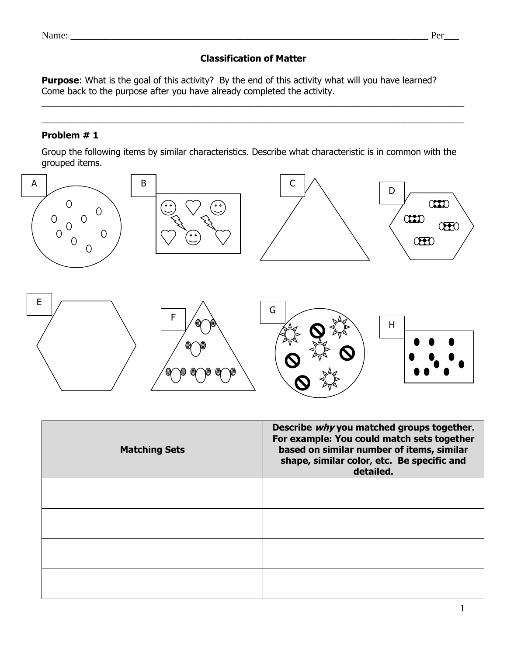## **Classification of Matter**

 $\_$  , and the set of the set of the set of the set of the set of the set of the set of the set of the set of the set of the set of the set of the set of the set of the set of the set of the set of the set of the set of th  $\_$  , and the set of the set of the set of the set of the set of the set of the set of the set of the set of the set of the set of the set of the set of the set of the set of the set of the set of the set of the set of th

**Purpose**: What is the goal of this activity? By the end of this activity what will you have learned? Come back to the purpose after you have already completed the activity.

## **Problem # 1**

Group the following items by similar characteristics. Describe what characteristic is in common with the grouped items.



| <b>Matching Sets</b> | Describe why you matched groups together.<br>For example: You could match sets together<br>based on similar number of items, similar<br>shape, similar color, etc. Be specific and<br>detailed. |
|----------------------|-------------------------------------------------------------------------------------------------------------------------------------------------------------------------------------------------|
|                      |                                                                                                                                                                                                 |
|                      |                                                                                                                                                                                                 |
|                      |                                                                                                                                                                                                 |
|                      |                                                                                                                                                                                                 |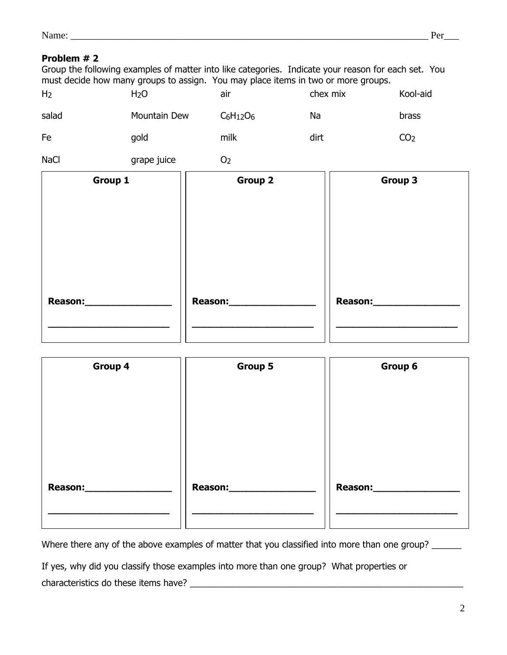| - -<br>. .<br>.<br>.<br>$\dots$ |  |  |
|---------------------------------|--|--|
|                                 |  |  |

### **Problem # 2**

Group the following examples of matter into like categories. Indicate your reason for each set. You must decide how many groups to assign. You may place items in two or more groups.

| H <sub>2</sub> | H <sub>2</sub> O | air            | chex mix | Kool-aid        |
|----------------|------------------|----------------|----------|-----------------|
| salad          | Mountain Dew     | $C_6H_{12}O_6$ | Na       | brass           |
| Fe             | gold             | milk           | dirt     | CO <sub>2</sub> |

NaCl grape juice 02

| Group 1          | <b>Group 2</b> | Group 3         |
|------------------|----------------|-----------------|
|                  |                |                 |
|                  |                |                 |
|                  |                |                 |
| Reason:_________ |                | Reason:________ |
|                  |                |                 |

| Group 5       | Group 6     |
|---------------|-------------|
|               |             |
|               |             |
|               |             |
|               |             |
|               |             |
| Reason:______ | Reason:____ |
|               |             |
|               |             |

Where there any of the above examples of matter that you classified into more than one group? \_\_\_\_\_\_

If yes, why did you classify those examples into more than one group? What properties or characteristics do these items have? \_\_\_\_\_\_\_\_\_\_\_\_\_\_\_\_\_\_\_\_\_\_\_\_\_\_\_\_\_\_\_\_\_\_\_\_\_\_\_\_\_\_\_\_\_\_\_\_\_\_\_\_\_\_\_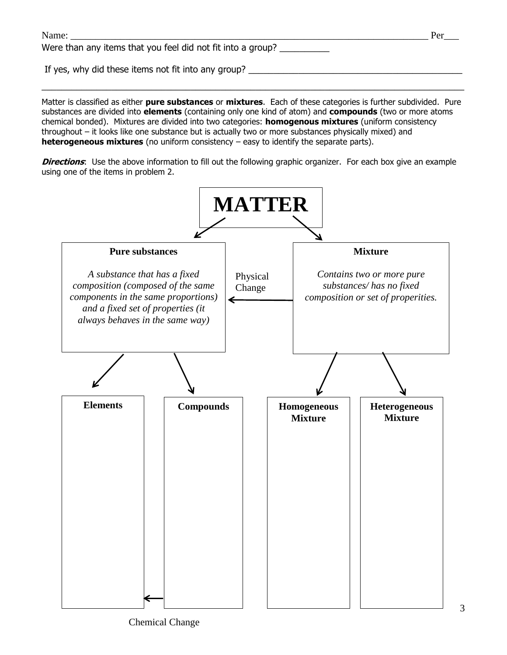| Name:                                                       | Per |
|-------------------------------------------------------------|-----|
| Were than any items that you feel did not fit into a group? |     |
| If yes, why did these items not fit into any group?         |     |

Matter is classified as either **pure substances** or **mixtures**. Each of these categories is further subdivided. Pure substances are divided into **elements** (containing only one kind of atom) and **compounds** (two or more atoms chemical bonded). Mixtures are divided into two categories: **homogenous mixtures** (uniform consistency throughout – it looks like one substance but is actually two or more substances physically mixed) and **heterogeneous mixtures** (no uniform consistency – easy to identify the separate parts).

 $\_$  , and the set of the set of the set of the set of the set of the set of the set of the set of the set of the set of the set of the set of the set of the set of the set of the set of the set of the set of the set of th

**Directions**: Use the above information to fill out the following graphic organizer. For each box give an example using one of the items in problem 2.

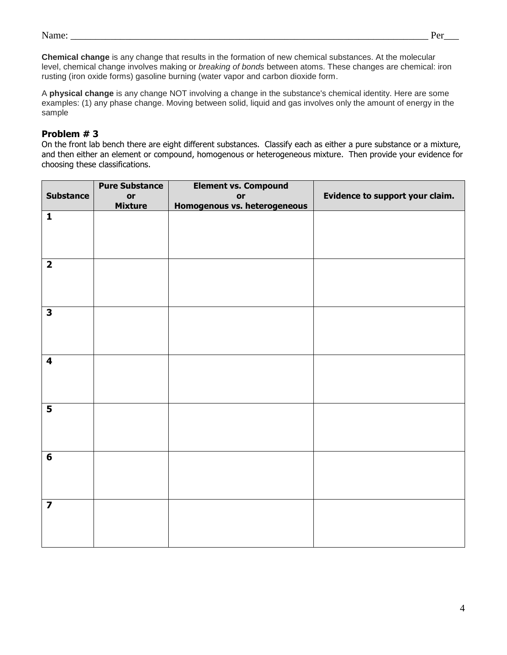| - -<br>$\cdots$ |  |  |
|-----------------|--|--|
|                 |  |  |

**Chemical change** is any change that results in the formation of new chemical substances. At the molecular level, chemical change involves making or *breaking of bonds* between atoms. These changes are chemical: iron rusting (iron oxide forms) gasoline burning (water vapor and carbon dioxide form.

A **physical change** is any change NOT involving a change in the substance's chemical identity. Here are some examples: (1) any phase change. Moving between solid, liquid and gas involves only the amount of energy in the sample

#### **Problem # 3**

On the front lab bench there are eight different substances. Classify each as either a pure substance or a mixture, and then either an element or compound, homogenous or heterogeneous mixture. Then provide your evidence for choosing these classifications.

|                         | <b>Pure Substance</b> | <b>Element vs. Compound</b>  |                                 |
|-------------------------|-----------------------|------------------------------|---------------------------------|
| <b>Substance</b>        | or                    | or                           | Evidence to support your claim. |
|                         | <b>Mixture</b>        | Homogenous vs. heterogeneous |                                 |
| $\mathbf{1}$            |                       |                              |                                 |
|                         |                       |                              |                                 |
|                         |                       |                              |                                 |
|                         |                       |                              |                                 |
|                         |                       |                              |                                 |
| $\overline{2}$          |                       |                              |                                 |
|                         |                       |                              |                                 |
|                         |                       |                              |                                 |
|                         |                       |                              |                                 |
|                         |                       |                              |                                 |
| $\overline{\mathbf{3}}$ |                       |                              |                                 |
|                         |                       |                              |                                 |
|                         |                       |                              |                                 |
|                         |                       |                              |                                 |
|                         |                       |                              |                                 |
| $\overline{\mathbf{4}}$ |                       |                              |                                 |
|                         |                       |                              |                                 |
|                         |                       |                              |                                 |
|                         |                       |                              |                                 |
| $\overline{\mathbf{5}}$ |                       |                              |                                 |
|                         |                       |                              |                                 |
|                         |                       |                              |                                 |
|                         |                       |                              |                                 |
|                         |                       |                              |                                 |
| $6\phantom{1}$          |                       |                              |                                 |
|                         |                       |                              |                                 |
|                         |                       |                              |                                 |
|                         |                       |                              |                                 |
|                         |                       |                              |                                 |
| $\overline{\mathbf{z}}$ |                       |                              |                                 |
|                         |                       |                              |                                 |
|                         |                       |                              |                                 |
|                         |                       |                              |                                 |
|                         |                       |                              |                                 |